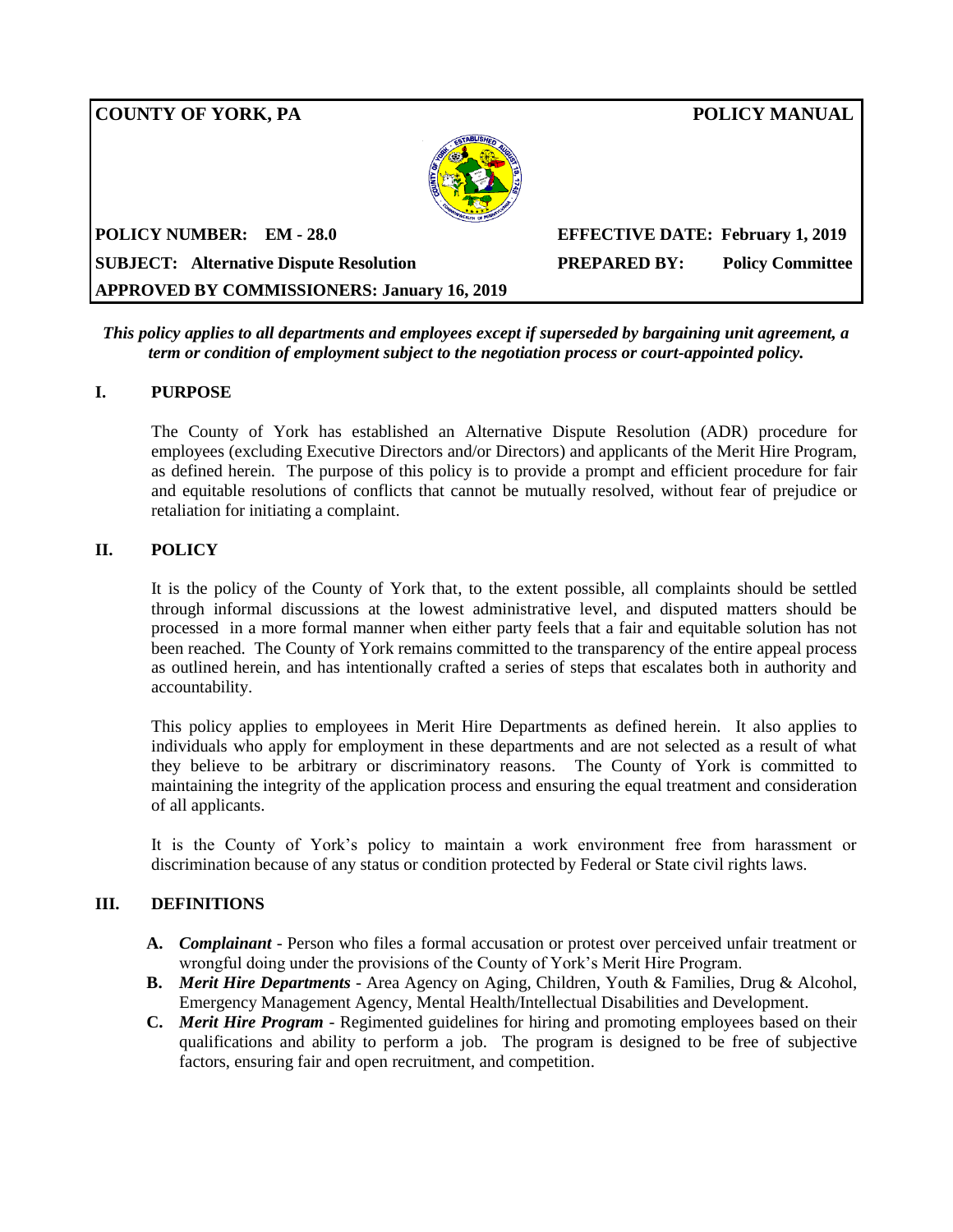# **COUNTY OF YORK, PA POLICY MANUAL POLICY NUMBER: EM - 28.0 EFFECTIVE DATE: February 1, 2019 SUBJECT: Alternative Dispute Resolution PREPARED BY: Policy Committee APPROVED BY COMMISSIONERS: January 16, 2019**

*This policy applies to all departments and employees except if superseded by bargaining unit agreement, a term or condition of employment subject to the negotiation process or court-appointed policy.*

## **I. PURPOSE**

The County of York has established an Alternative Dispute Resolution (ADR) procedure for employees (excluding Executive Directors and/or Directors) and applicants of the Merit Hire Program, as defined herein. The purpose of this policy is to provide a prompt and efficient procedure for fair and equitable resolutions of conflicts that cannot be mutually resolved, without fear of prejudice or retaliation for initiating a complaint.

## **II. POLICY**

It is the policy of the County of York that, to the extent possible, all complaints should be settled through informal discussions at the lowest administrative level, and disputed matters should be processed in a more formal manner when either party feels that a fair and equitable solution has not been reached. The County of York remains committed to the transparency of the entire appeal process as outlined herein, and has intentionally crafted a series of steps that escalates both in authority and accountability.

This policy applies to employees in Merit Hire Departments as defined herein. It also applies to individuals who apply for employment in these departments and are not selected as a result of what they believe to be arbitrary or discriminatory reasons. The County of York is committed to maintaining the integrity of the application process and ensuring the equal treatment and consideration of all applicants.

It is the County of York's policy to maintain a work environment free from harassment or discrimination because of any status or condition protected by Federal or State civil rights laws.

#### **III. DEFINITIONS**

- **A.** *Complainant* Person who files a formal accusation or protest over perceived unfair treatment or wrongful doing under the provisions of the County of York's Merit Hire Program.
- **B.** *Merit Hire Departments* Area Agency on Aging, Children, Youth & Families, Drug & Alcohol, Emergency Management Agency, Mental Health/Intellectual Disabilities and Development.
- **C.** *Merit Hire Program* Regimented guidelines for hiring and promoting employees based on their qualifications and ability to perform a job. The program is designed to be free of subjective factors, ensuring fair and open recruitment, and competition.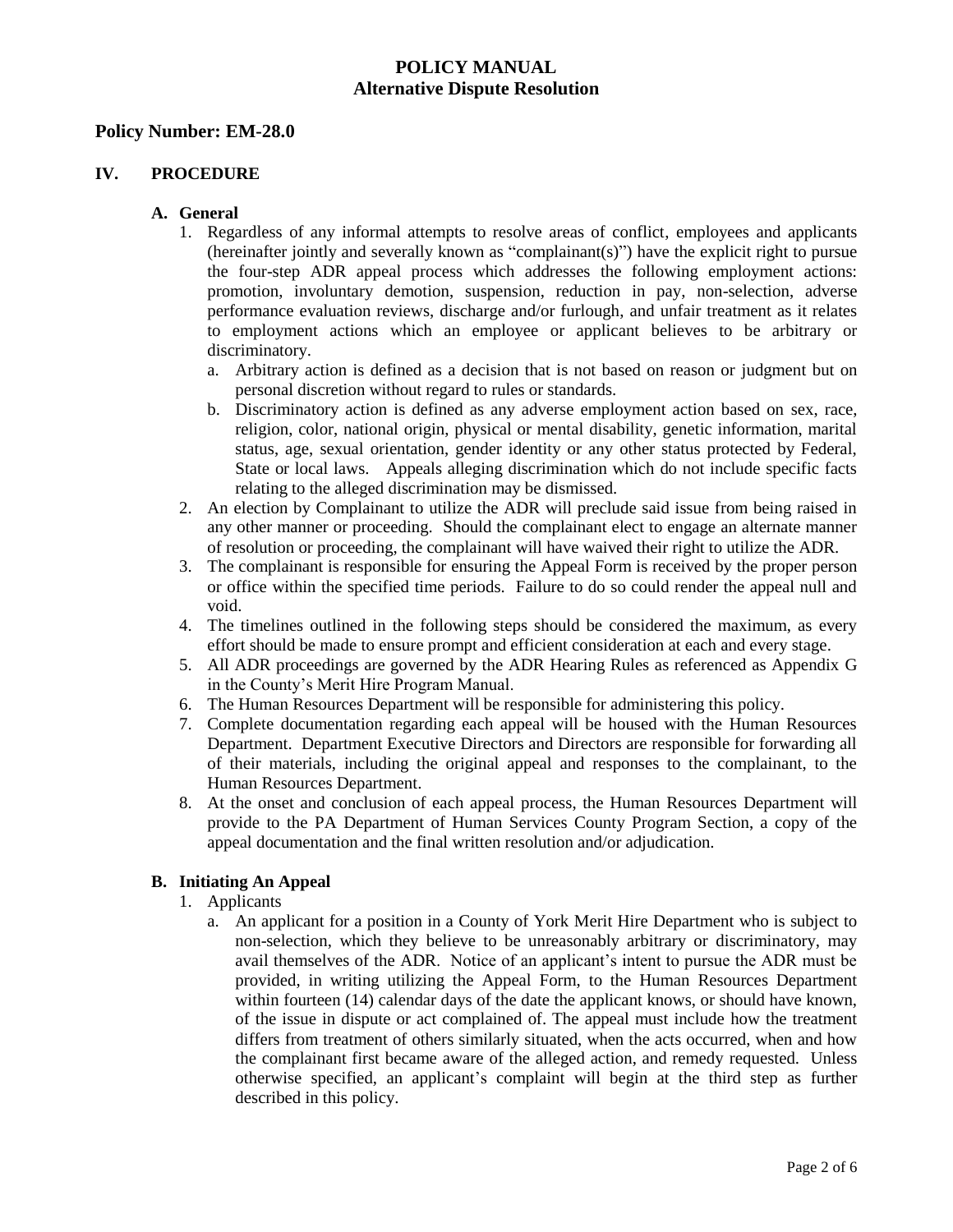#### **Policy Number: EM-28.0**

#### **IV. PROCEDURE**

#### **A. General**

- 1. Regardless of any informal attempts to resolve areas of conflict, employees and applicants (hereinafter jointly and severally known as "complainant(s)") have the explicit right to pursue the four-step ADR appeal process which addresses the following employment actions: promotion, involuntary demotion, suspension, reduction in pay, non-selection, adverse performance evaluation reviews, discharge and/or furlough, and unfair treatment as it relates to employment actions which an employee or applicant believes to be arbitrary or discriminatory.
	- a. Arbitrary action is defined as a decision that is not based on reason or judgment but on personal discretion without regard to rules or standards.
	- b. Discriminatory action is defined as any adverse employment action based on sex, race, religion, color, national origin, physical or mental disability, genetic information, marital status, age, sexual orientation, gender identity or any other status protected by Federal, State or local laws. Appeals alleging discrimination which do not include specific facts relating to the alleged discrimination may be dismissed.
- 2. An election by Complainant to utilize the ADR will preclude said issue from being raised in any other manner or proceeding. Should the complainant elect to engage an alternate manner of resolution or proceeding, the complainant will have waived their right to utilize the ADR.
- 3. The complainant is responsible for ensuring the Appeal Form is received by the proper person or office within the specified time periods. Failure to do so could render the appeal null and void.
- 4. The timelines outlined in the following steps should be considered the maximum, as every effort should be made to ensure prompt and efficient consideration at each and every stage.
- 5. All ADR proceedings are governed by the ADR Hearing Rules as referenced as Appendix G in the County's Merit Hire Program Manual.
- 6. The Human Resources Department will be responsible for administering this policy.
- 7. Complete documentation regarding each appeal will be housed with the Human Resources Department. Department Executive Directors and Directors are responsible for forwarding all of their materials, including the original appeal and responses to the complainant, to the Human Resources Department.
- 8. At the onset and conclusion of each appeal process, the Human Resources Department will provide to the PA Department of Human Services County Program Section, a copy of the appeal documentation and the final written resolution and/or adjudication.

## **B. Initiating An Appeal**

- 1. Applicants
	- a. An applicant for a position in a County of York Merit Hire Department who is subject to non-selection, which they believe to be unreasonably arbitrary or discriminatory, may avail themselves of the ADR. Notice of an applicant's intent to pursue the ADR must be provided, in writing utilizing the Appeal Form, to the Human Resources Department within fourteen (14) calendar days of the date the applicant knows, or should have known, of the issue in dispute or act complained of. The appeal must include how the treatment differs from treatment of others similarly situated, when the acts occurred, when and how the complainant first became aware of the alleged action, and remedy requested. Unless otherwise specified, an applicant's complaint will begin at the third step as further described in this policy.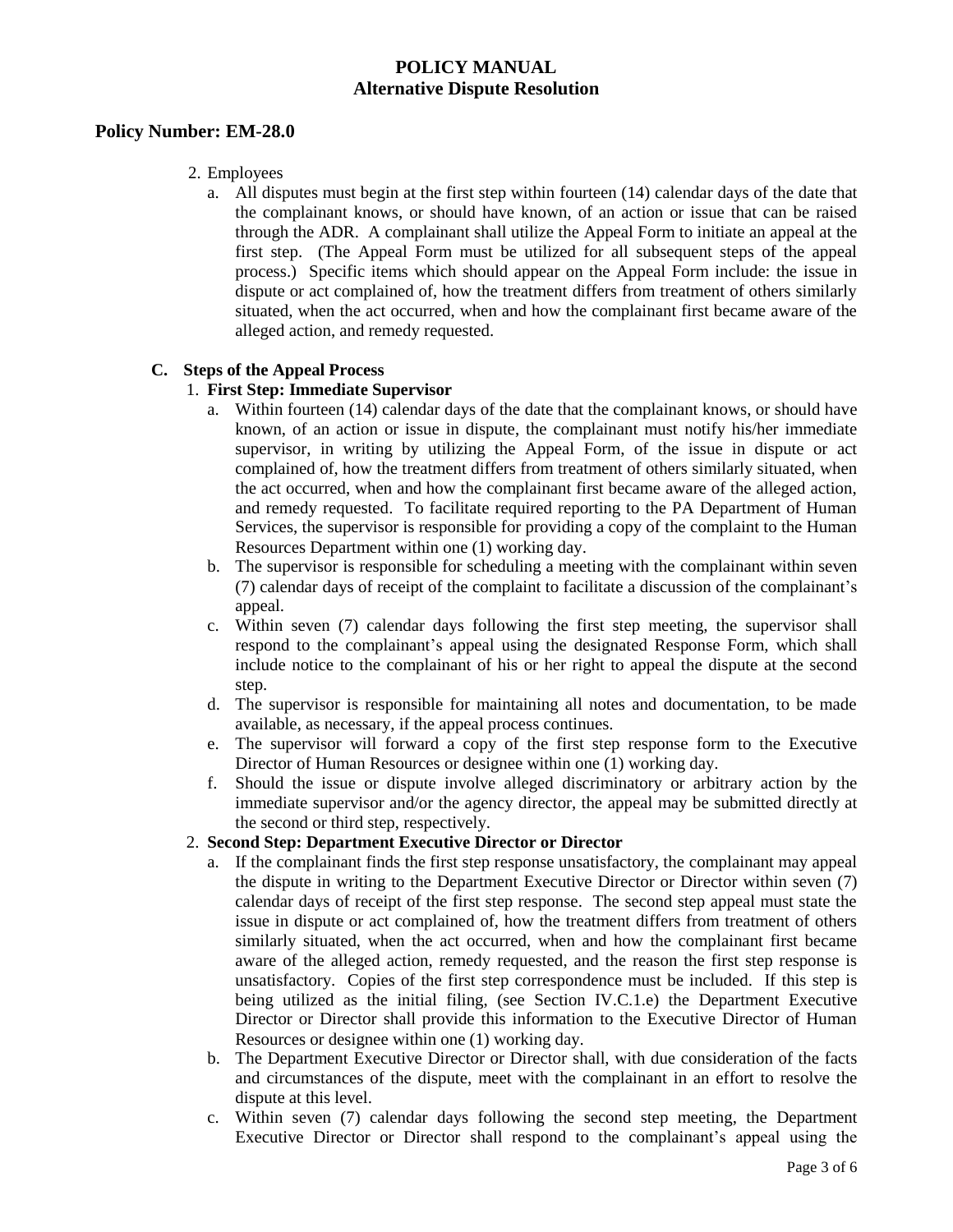## **Policy Number: EM-28.0**

- 2. Employees
	- a. All disputes must begin at the first step within fourteen (14) calendar days of the date that the complainant knows, or should have known, of an action or issue that can be raised through the ADR. A complainant shall utilize the Appeal Form to initiate an appeal at the first step. (The Appeal Form must be utilized for all subsequent steps of the appeal process.) Specific items which should appear on the Appeal Form include: the issue in dispute or act complained of, how the treatment differs from treatment of others similarly situated, when the act occurred, when and how the complainant first became aware of the alleged action, and remedy requested.

## **C. Steps of the Appeal Process**

## 1. **First Step: Immediate Supervisor**

- a. Within fourteen (14) calendar days of the date that the complainant knows, or should have known, of an action or issue in dispute, the complainant must notify his/her immediate supervisor, in writing by utilizing the Appeal Form, of the issue in dispute or act complained of, how the treatment differs from treatment of others similarly situated, when the act occurred, when and how the complainant first became aware of the alleged action, and remedy requested. To facilitate required reporting to the PA Department of Human Services, the supervisor is responsible for providing a copy of the complaint to the Human Resources Department within one (1) working day.
- b. The supervisor is responsible for scheduling a meeting with the complainant within seven (7) calendar days of receipt of the complaint to facilitate a discussion of the complainant's appeal.
- c. Within seven (7) calendar days following the first step meeting, the supervisor shall respond to the complainant's appeal using the designated Response Form, which shall include notice to the complainant of his or her right to appeal the dispute at the second step.
- d. The supervisor is responsible for maintaining all notes and documentation, to be made available, as necessary, if the appeal process continues.
- e. The supervisor will forward a copy of the first step response form to the Executive Director of Human Resources or designee within one (1) working day.
- f. Should the issue or dispute involve alleged discriminatory or arbitrary action by the immediate supervisor and/or the agency director, the appeal may be submitted directly at the second or third step, respectively.

#### 2. **Second Step: Department Executive Director or Director**

- a. If the complainant finds the first step response unsatisfactory, the complainant may appeal the dispute in writing to the Department Executive Director or Director within seven (7) calendar days of receipt of the first step response. The second step appeal must state the issue in dispute or act complained of, how the treatment differs from treatment of others similarly situated, when the act occurred, when and how the complainant first became aware of the alleged action, remedy requested, and the reason the first step response is unsatisfactory. Copies of the first step correspondence must be included. If this step is being utilized as the initial filing, (see Section IV.C.1.e) the Department Executive Director or Director shall provide this information to the Executive Director of Human Resources or designee within one (1) working day.
- b. The Department Executive Director or Director shall, with due consideration of the facts and circumstances of the dispute, meet with the complainant in an effort to resolve the dispute at this level.
- c. Within seven (7) calendar days following the second step meeting, the Department Executive Director or Director shall respond to the complainant's appeal using the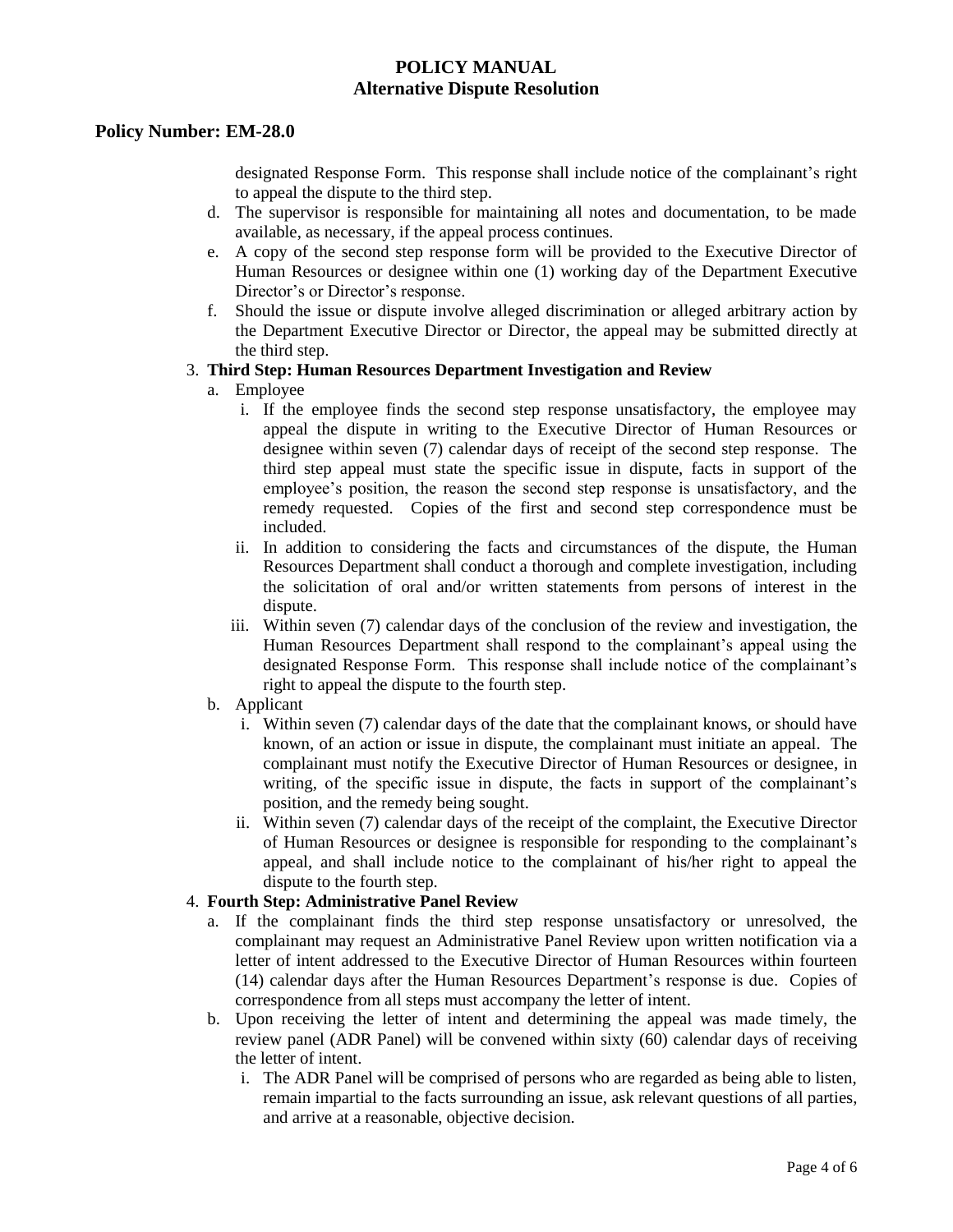## **Policy Number: EM-28.0**

designated Response Form. This response shall include notice of the complainant's right to appeal the dispute to the third step.

- d. The supervisor is responsible for maintaining all notes and documentation, to be made available, as necessary, if the appeal process continues.
- e. A copy of the second step response form will be provided to the Executive Director of Human Resources or designee within one (1) working day of the Department Executive Director's or Director's response.
- f. Should the issue or dispute involve alleged discrimination or alleged arbitrary action by the Department Executive Director or Director, the appeal may be submitted directly at the third step.

#### 3. **Third Step: Human Resources Department Investigation and Review**

- a. Employee
	- i. If the employee finds the second step response unsatisfactory, the employee may appeal the dispute in writing to the Executive Director of Human Resources or designee within seven (7) calendar days of receipt of the second step response. The third step appeal must state the specific issue in dispute, facts in support of the employee's position, the reason the second step response is unsatisfactory, and the remedy requested. Copies of the first and second step correspondence must be included.
	- ii. In addition to considering the facts and circumstances of the dispute, the Human Resources Department shall conduct a thorough and complete investigation, including the solicitation of oral and/or written statements from persons of interest in the dispute.
	- iii. Within seven (7) calendar days of the conclusion of the review and investigation, the Human Resources Department shall respond to the complainant's appeal using the designated Response Form. This response shall include notice of the complainant's right to appeal the dispute to the fourth step.
- b. Applicant
	- i. Within seven (7) calendar days of the date that the complainant knows, or should have known, of an action or issue in dispute, the complainant must initiate an appeal. The complainant must notify the Executive Director of Human Resources or designee, in writing, of the specific issue in dispute, the facts in support of the complainant's position, and the remedy being sought.
	- ii. Within seven (7) calendar days of the receipt of the complaint, the Executive Director of Human Resources or designee is responsible for responding to the complainant's appeal, and shall include notice to the complainant of his/her right to appeal the dispute to the fourth step.

## 4. **Fourth Step: Administrative Panel Review**

- a. If the complainant finds the third step response unsatisfactory or unresolved, the complainant may request an Administrative Panel Review upon written notification via a letter of intent addressed to the Executive Director of Human Resources within fourteen (14) calendar days after the Human Resources Department's response is due. Copies of correspondence from all steps must accompany the letter of intent.
- b. Upon receiving the letter of intent and determining the appeal was made timely, the review panel (ADR Panel) will be convened within sixty (60) calendar days of receiving the letter of intent.
	- i. The ADR Panel will be comprised of persons who are regarded as being able to listen, remain impartial to the facts surrounding an issue, ask relevant questions of all parties, and arrive at a reasonable, objective decision.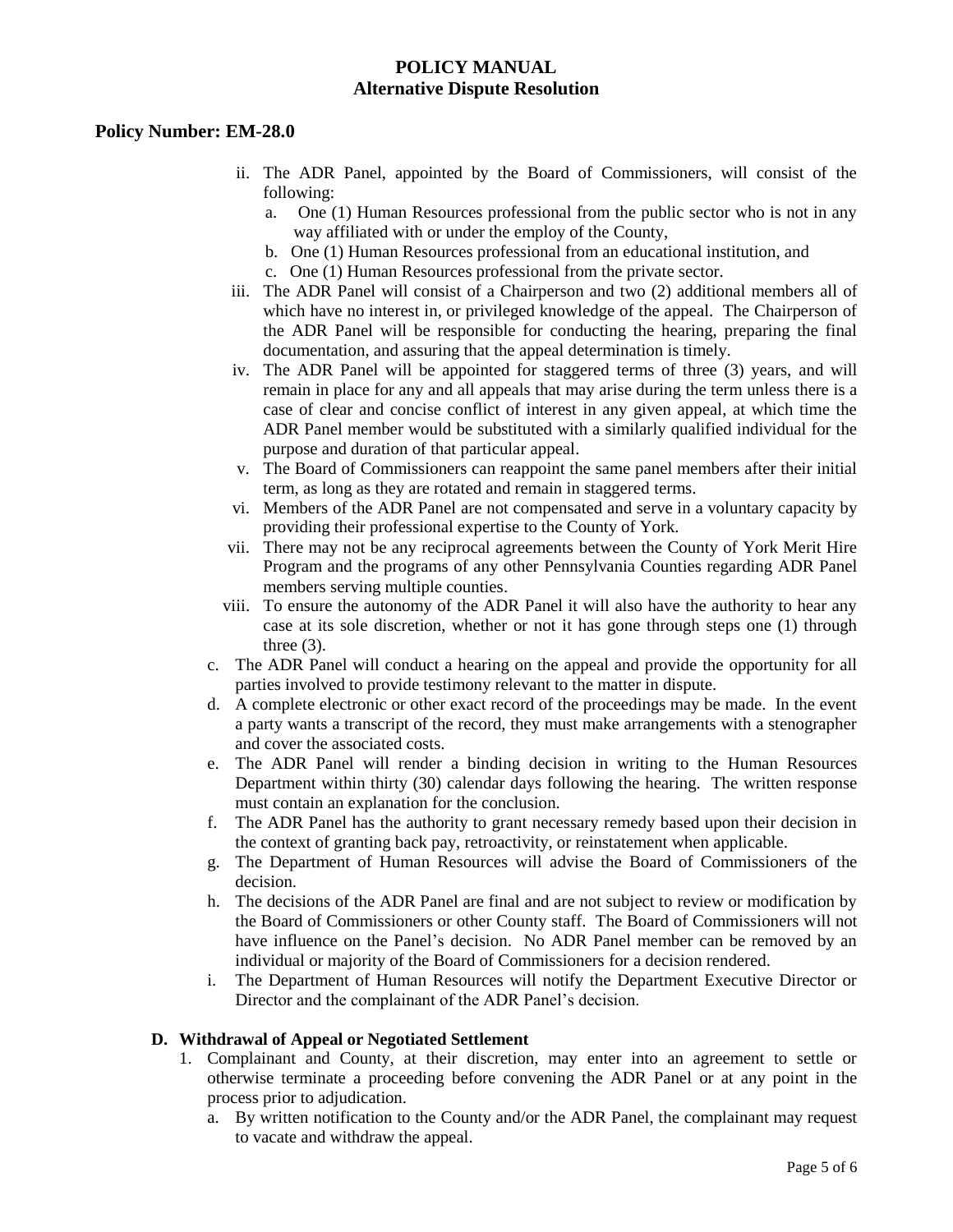#### **Policy Number: EM-28.0**

- ii. The ADR Panel, appointed by the Board of Commissioners, will consist of the following:
	- a. One (1) Human Resources professional from the public sector who is not in any way affiliated with or under the employ of the County,
	- b. One (1) Human Resources professional from an educational institution, and
	- c. One (1) Human Resources professional from the private sector.
- iii. The ADR Panel will consist of a Chairperson and two (2) additional members all of which have no interest in, or privileged knowledge of the appeal. The Chairperson of the ADR Panel will be responsible for conducting the hearing, preparing the final documentation, and assuring that the appeal determination is timely.
- iv. The ADR Panel will be appointed for staggered terms of three (3) years, and will remain in place for any and all appeals that may arise during the term unless there is a case of clear and concise conflict of interest in any given appeal, at which time the ADR Panel member would be substituted with a similarly qualified individual for the purpose and duration of that particular appeal.
- v. The Board of Commissioners can reappoint the same panel members after their initial term, as long as they are rotated and remain in staggered terms.
- vi. Members of the ADR Panel are not compensated and serve in a voluntary capacity by providing their professional expertise to the County of York.
- vii. There may not be any reciprocal agreements between the County of York Merit Hire Program and the programs of any other Pennsylvania Counties regarding ADR Panel members serving multiple counties.
- viii. To ensure the autonomy of the ADR Panel it will also have the authority to hear any case at its sole discretion, whether or not it has gone through steps one (1) through three  $(3)$ .
- c. The ADR Panel will conduct a hearing on the appeal and provide the opportunity for all parties involved to provide testimony relevant to the matter in dispute.
- d. A complete electronic or other exact record of the proceedings may be made. In the event a party wants a transcript of the record, they must make arrangements with a stenographer and cover the associated costs.
- e. The ADR Panel will render a binding decision in writing to the Human Resources Department within thirty (30) calendar days following the hearing. The written response must contain an explanation for the conclusion.
- f. The ADR Panel has the authority to grant necessary remedy based upon their decision in the context of granting back pay, retroactivity, or reinstatement when applicable.
- g. The Department of Human Resources will advise the Board of Commissioners of the decision.
- h. The decisions of the ADR Panel are final and are not subject to review or modification by the Board of Commissioners or other County staff. The Board of Commissioners will not have influence on the Panel's decision. No ADR Panel member can be removed by an individual or majority of the Board of Commissioners for a decision rendered.
- i. The Department of Human Resources will notify the Department Executive Director or Director and the complainant of the ADR Panel's decision.

#### **D. Withdrawal of Appeal or Negotiated Settlement**

- 1. Complainant and County, at their discretion, may enter into an agreement to settle or otherwise terminate a proceeding before convening the ADR Panel or at any point in the process prior to adjudication.
	- a. By written notification to the County and/or the ADR Panel, the complainant may request to vacate and withdraw the appeal.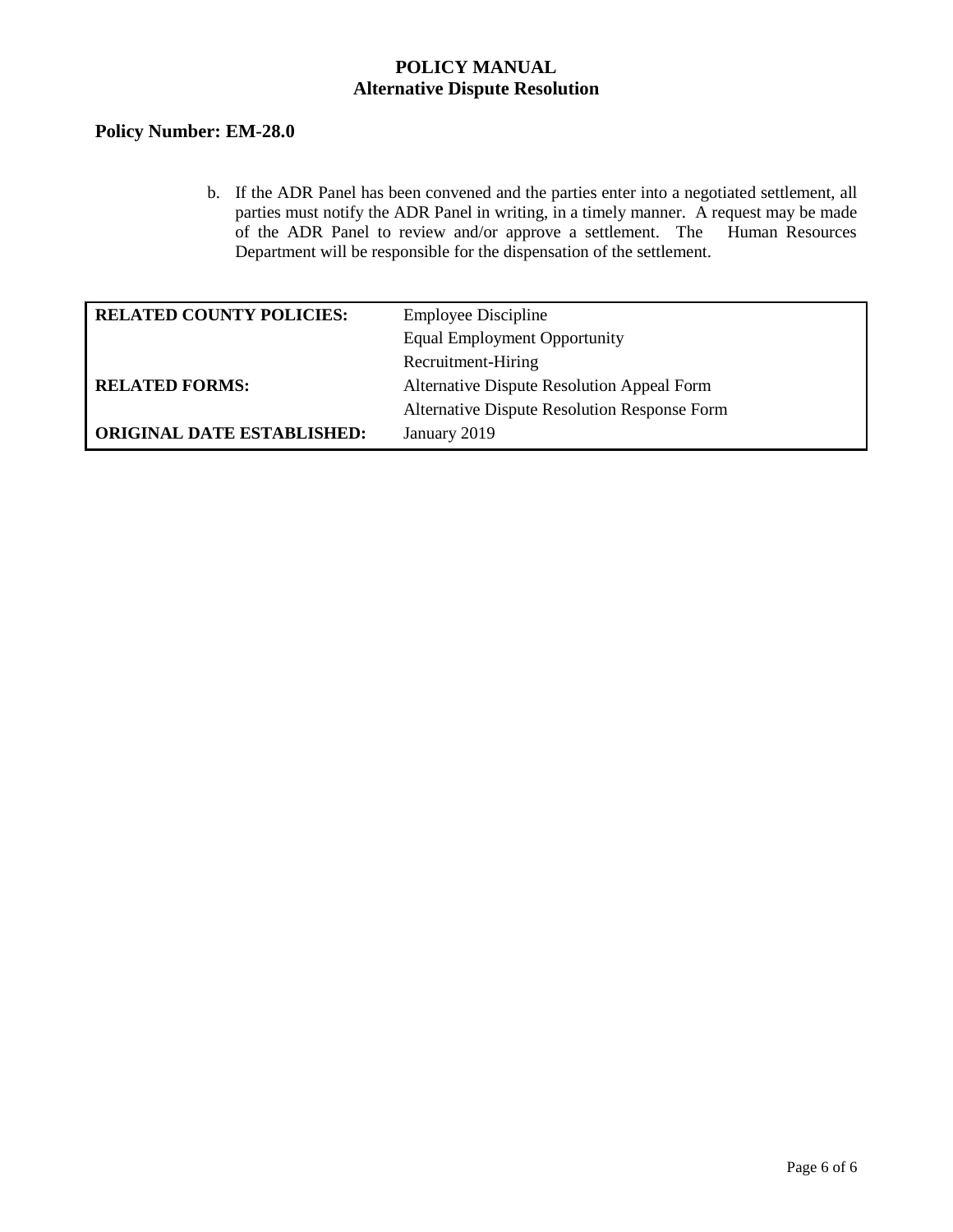# **Policy Number: EM-28.0**

b. If the ADR Panel has been convened and the parties enter into a negotiated settlement, all parties must notify the ADR Panel in writing, in a timely manner. A request may be made of the ADR Panel to review and/or approve a settlement. The Human Resources Department will be responsible for the dispensation of the settlement.

| <b>RELATED COUNTY POLICIES:</b>   | <b>Employee Discipline</b>                   |  |
|-----------------------------------|----------------------------------------------|--|
|                                   | <b>Equal Employment Opportunity</b>          |  |
|                                   | Recruitment-Hiring                           |  |
| <b>RELATED FORMS:</b>             | Alternative Dispute Resolution Appeal Form   |  |
|                                   | Alternative Dispute Resolution Response Form |  |
| <b>ORIGINAL DATE ESTABLISHED:</b> | January 2019                                 |  |